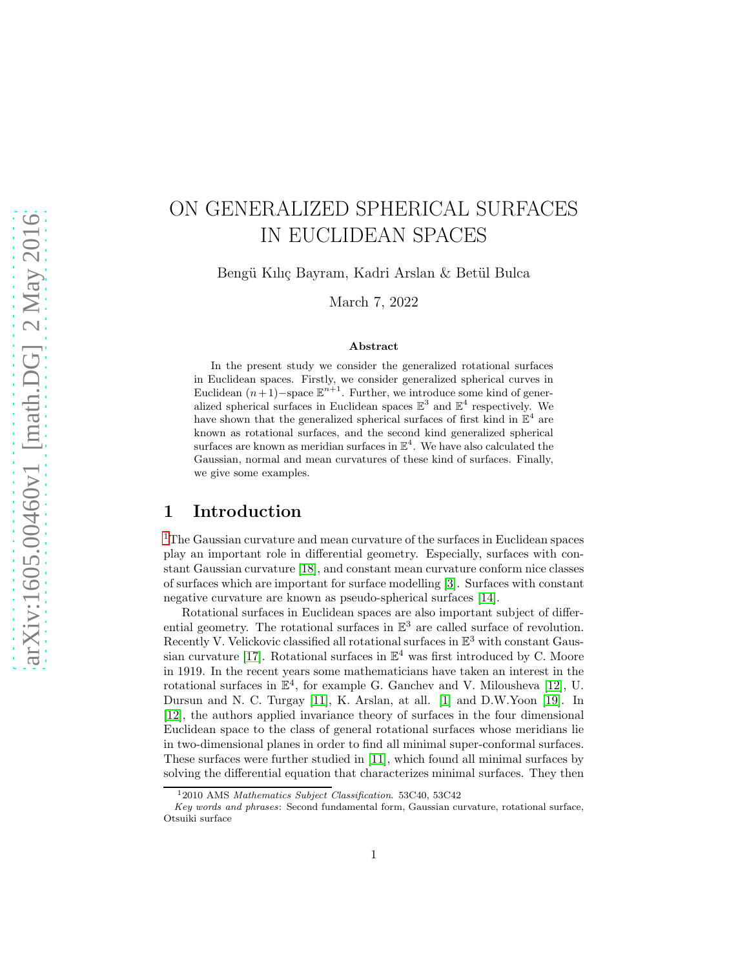# ON GENERALIZED SPHERICAL SURFACES IN EUCLIDEAN SPACES

Bengü Kılıç Bayram, Kadri Arslan & Betül Bulca

March 7, 2022

#### Abstract

In the present study we consider the generalized rotational surfaces in Euclidean spaces. Firstly, we consider generalized spherical curves in Euclidean  $(n+1)$ –space  $\mathbb{E}^{n+1}$ . Further, we introduce some kind of generalized spherical surfaces in Euclidean spaces  $\mathbb{E}^3$  and  $\mathbb{E}^4$  respectively. We have shown that the generalized spherical surfaces of first kind in  $\mathbb{E}^4$  are known as rotational surfaces, and the second kind generalized spherical surfaces are known as meridian surfaces in  $\mathbb{E}^4$ . We have also calculated the Gaussian, normal and mean curvatures of these kind of surfaces. Finally, we give some examples.

## 1 Introduction

[1](#page-0-0)The Gaussian curvature and mean curvature of the surfaces in Euclidean spaces play an important role in differential geometry. Especially, surfaces with constant Gaussian curvature [\[18\]](#page-13-0), and constant mean curvature conform nice classes of surfaces which are important for surface modelling [\[3\]](#page-12-0). Surfaces with constant negative curvature are known as pseudo-spherical surfaces [\[14\]](#page-12-1).

Rotational surfaces in Euclidean spaces are also important subject of differential geometry. The rotational surfaces in  $\mathbb{E}^3$  are called surface of revolution. Recently V. Velickovic classified all rotational surfaces in  $\mathbb{E}^3$  with constant Gaus-sian curvature [\[17\]](#page-13-1). Rotational surfaces in  $\mathbb{E}^4$  was first introduced by C. Moore in 1919. In the recent years some mathematicians have taken an interest in the rotational surfaces in  $\mathbb{E}^4$ , for example G. Ganchev and V. Milousheva [\[12\]](#page-12-2), U. Dursun and N. C. Turgay [\[11\]](#page-12-3), K. Arslan, at all. [\[1\]](#page-12-4) and D.W.Yoon [\[19\]](#page-13-2). In [\[12\]](#page-12-2), the authors applied invariance theory of surfaces in the four dimensional Euclidean space to the class of general rotational surfaces whose meridians lie in two-dimensional planes in order to find all minimal super-conformal surfaces. These surfaces were further studied in [\[11\]](#page-12-3), which found all minimal surfaces by solving the differential equation that characterizes minimal surfaces. They then

<span id="page-0-0"></span><sup>&</sup>lt;sup>1</sup>2010 AMS Mathematics Subject Classification. 53C40, 53C42

Key words and phrases: Second fundamental form, Gaussian curvature, rotational surface, Otsuiki surface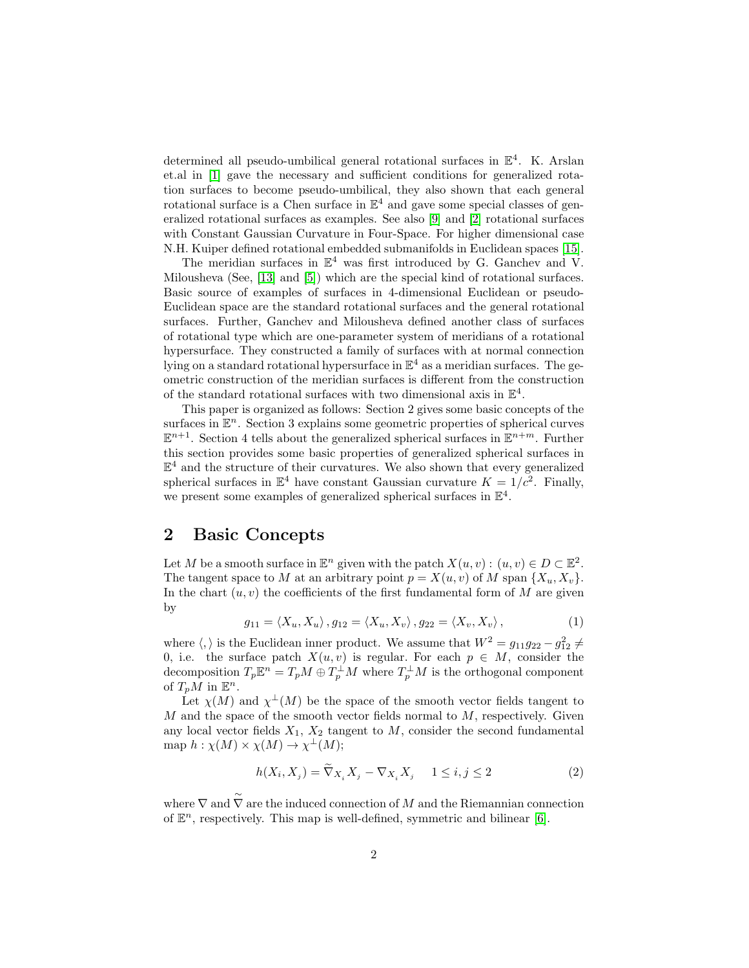determined all pseudo-umbilical general rotational surfaces in  $\mathbb{E}^4$ . K. Arslan et.al in [\[1\]](#page-12-4) gave the necessary and sufficient conditions for generalized rotation surfaces to become pseudo-umbilical, they also shown that each general rotational surface is a Chen surface in  $\mathbb{E}^4$  and gave some special classes of generalized rotational surfaces as examples. See also [\[9\]](#page-12-5) and [\[2\]](#page-12-6) rotational surfaces with Constant Gaussian Curvature in Four-Space. For higher dimensional case N.H. Kuiper defined rotational embedded submanifolds in Euclidean spaces [\[15\]](#page-12-7).

The meridian surfaces in  $\mathbb{E}^4$  was first introduced by G. Ganchev and V. Milousheva (See, [\[13\]](#page-12-8) and [\[5\]](#page-12-9)) which are the special kind of rotational surfaces. Basic source of examples of surfaces in 4-dimensional Euclidean or pseudo-Euclidean space are the standard rotational surfaces and the general rotational surfaces. Further, Ganchev and Milousheva defined another class of surfaces of rotational type which are one-parameter system of meridians of a rotational hypersurface. They constructed a family of surfaces with at normal connection lying on a standard rotational hypersurface in  $\mathbb{E}^4$  as a meridian surfaces. The geometric construction of the meridian surfaces is different from the construction of the standard rotational surfaces with two dimensional axis in  $\mathbb{E}^4$ .

This paper is organized as follows: Section 2 gives some basic concepts of the surfaces in  $\mathbb{E}^n$ . Section 3 explains some geometric properties of spherical curves  $\mathbb{E}^{n+1}$ . Section 4 tells about the generalized spherical surfaces in  $\mathbb{E}^{n+m}$ . Further this section provides some basic properties of generalized spherical surfaces in  $\mathbb{E}^{4}$  and the structure of their curvatures. We also shown that every generalized spherical surfaces in  $\mathbb{E}^4$  have constant Gaussian curvature  $K = 1/c^2$ . Finally, we present some examples of generalized spherical surfaces in  $\mathbb{E}^4$ .

#### 2 Basic Concepts

∼

Let M be a smooth surface in  $\mathbb{E}^n$  given with the patch  $X(u, v) : (u, v) \in D \subset \mathbb{E}^2$ . The tangent space to M at an arbitrary point  $p = X(u, v)$  of M span  $\{X_u, X_v\}$ . In the chart  $(u, v)$  the coefficients of the first fundamental form of M are given by

$$
g_{11} = \langle X_u, X_u \rangle, g_{12} = \langle X_u, X_v \rangle, g_{22} = \langle X_v, X_v \rangle, \qquad (1)
$$

where  $\langle, \rangle$  is the Euclidean inner product. We assume that  $W^2 = g_{11}g_{22} - g_{12}^2 \neq$ 0, i.e. the surface patch  $X(u, v)$  is regular. For each  $p \in M$ , consider the decomposition  $T_p \mathbb{E}^n = T_p M \oplus T_p^{\perp} M$  where  $T_p^{\perp} M$  is the orthogonal component of  $T_pM$  in  $\mathbb{E}^n$ .

Let  $\chi(M)$  and  $\chi^{\perp}(M)$  be the space of the smooth vector fields tangent to  $M$  and the space of the smooth vector fields normal to  $M$ , respectively. Given any local vector fields  $X_1, X_2$  tangent to M, consider the second fundamental map  $h: \chi(M) \times \chi(M) \to \chi^{\perp}(M);$ 

<span id="page-1-0"></span>
$$
h(X_i, X_j) = \widetilde{\nabla}_{X_i} X_j - \nabla_{X_i} X_j \quad 1 \le i, j \le 2
$$
 (2)

where ∇ and  $\nabla$  are the induced connection of M and the Riemannian connection of  $\mathbb{E}^n$ , respectively. This map is well-defined, symmetric and bilinear [\[6\]](#page-12-10).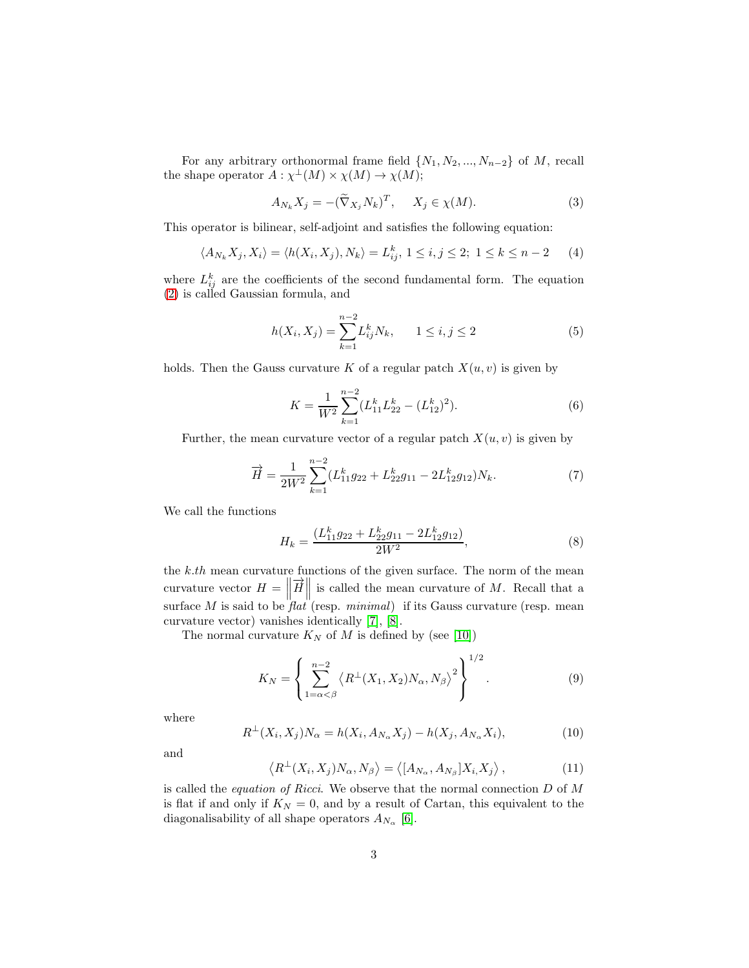For any arbitrary orthonormal frame field  $\{N_1, N_2, ..., N_{n-2}\}$  of M, recall the shape operator  $A: \chi^{\perp}(M) \times \chi(M) \to \chi(M);$ 

$$
A_{N_k} X_j = -(\widetilde{\nabla}_{X_j} N_k)^T, \quad X_j \in \chi(M). \tag{3}
$$

This operator is bilinear, self-adjoint and satisfies the following equation:

$$
\langle A_{N_k} X_j, X_i \rangle = \langle h(X_i, X_j), N_k \rangle = L_{ij}^k, 1 \le i, j \le 2; 1 \le k \le n-2 \tag{4}
$$

where  $L_{ij}^k$  are the coefficients of the second fundamental form. The equation [\(2\)](#page-1-0) is called Gaussian formula, and

$$
h(X_i, X_j) = \sum_{k=1}^{n-2} L_{ij}^k N_k, \qquad 1 \le i, j \le 2
$$
 (5)

holds. Then the Gauss curvature K of a regular patch  $X(u, v)$  is given by

<span id="page-2-0"></span>
$$
K = \frac{1}{W^2} \sum_{k=1}^{n-2} (L_{11}^k L_{22}^k - (L_{12}^k)^2).
$$
 (6)

Further, the mean curvature vector of a regular patch  $X(u, v)$  is given by

<span id="page-2-1"></span>
$$
\overrightarrow{H} = \frac{1}{2W^2} \sum_{k=1}^{n-2} (L_{11}^k g_{22} + L_{22}^k g_{11} - 2L_{12}^k g_{12}) N_k.
$$
 (7)

We call the functions

$$
H_k = \frac{(L_{11}^k g_{22} + L_{22}^k g_{11} - 2L_{12}^k g_{12})}{2W^2},\tag{8}
$$

the  $k.th$  mean curvature functions of the given surface. The norm of the mean curvature vector  $H = \left\| \vec{H} \right\|$  is called the mean curvature of M. Recall that a surface  $M$  is said to be  $\hat{f}lat$  (resp. minimal) if its Gauss curvature (resp. mean curvature vector) vanishes identically [\[7\]](#page-12-11), [\[8\]](#page-12-12).

The normal curvature  $K_N$  of M is defined by (see [\[10\]](#page-12-13))

$$
K_N = \left\{ \sum_{1=\alpha < \beta}^{n-2} \left\langle R^{\perp}(X_1, X_2) N_{\alpha}, N_{\beta} \right\rangle^2 \right\}^{1/2}.
$$
 (9)

where

$$
R^{\perp}(X_i, X_j)N_{\alpha} = h(X_i, A_{N_{\alpha}}X_j) - h(X_j, A_{N_{\alpha}}X_i),
$$
\n(10)

and

$$
\left\langle R^{\perp}(X_i, X_j) N_{\alpha}, N_{\beta} \right\rangle = \left\langle [A_{N_{\alpha}}, A_{N_{\beta}}] X_i, X_j \right\rangle, \tag{11}
$$

is called the *equation of Ricci*. We observe that the normal connection  $D$  of  $M$ is flat if and only if  $K_N = 0$ , and by a result of Cartan, this equivalent to the diagonalisability of all shape operators  $A_{N_{\alpha}}$  [\[6\]](#page-12-10).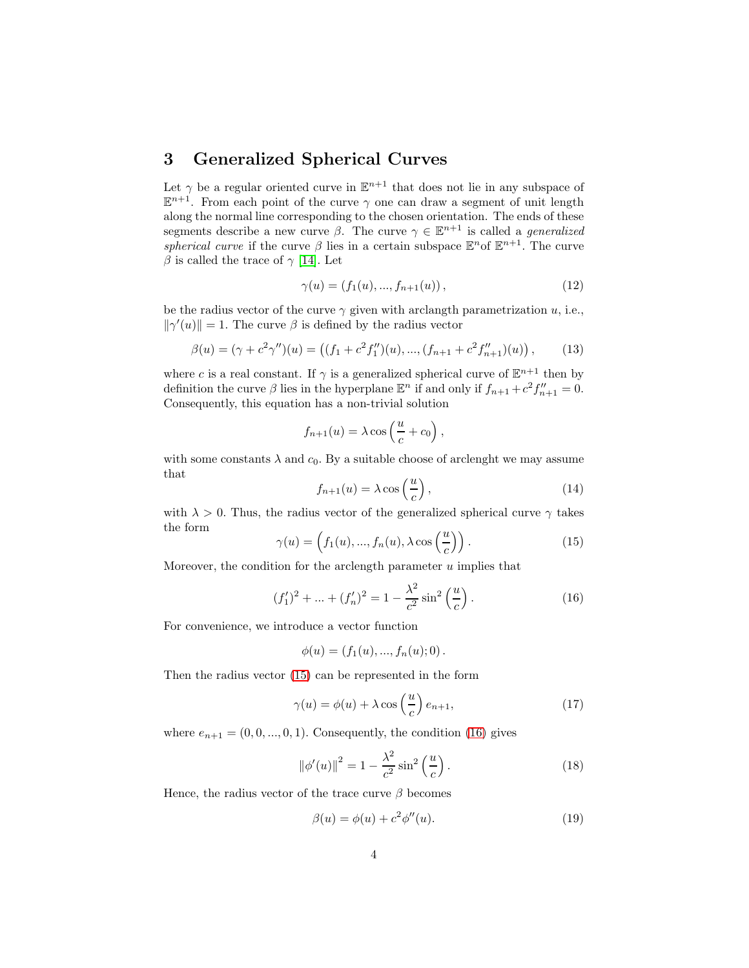# 3 Generalized Spherical Curves

Let  $\gamma$  be a regular oriented curve in  $\mathbb{E}^{n+1}$  that does not lie in any subspace of  $\mathbb{E}^{n+1}$ . From each point of the curve  $\gamma$  one can draw a segment of unit length along the normal line corresponding to the chosen orientation. The ends of these segments describe a new curve  $\beta$ . The curve  $\gamma \in \mathbb{E}^{n+1}$  is called a *generalized* spherical curve if the curve  $\beta$  lies in a certain subspace  $\mathbb{E}^n$  of  $\mathbb{E}^{n+1}$ . The curve β is called the trace of  $\gamma$  [\[14\]](#page-12-1). Let

$$
\gamma(u) = (f_1(u), ..., f_{n+1}(u)), \qquad (12)
$$

be the radius vector of the curve  $\gamma$  given with arclangth parametrization u, i.e.,  $\|\gamma'(u)\|=1.$  The curve  $\beta$  is defined by the radius vector

$$
\beta(u) = (\gamma + c^2 \gamma'')(u) = ((f_1 + c^2 f_1'')(u), ..., (f_{n+1} + c^2 f_{n+1}'')(u)), \qquad (13)
$$

where c is a real constant. If  $\gamma$  is a generalized spherical curve of  $\mathbb{E}^{n+1}$  then by definition the curve  $\beta$  lies in the hyperplane  $\mathbb{E}^n$  if and only if  $f_{n+1} + c^2 f''_{n+1} = 0$ . Consequently, this equation has a non-trivial solution

$$
f_{n+1}(u) = \lambda \cos\left(\frac{u}{c} + c_0\right),\,
$$

with some constants  $\lambda$  and  $c_0$ . By a suitable choose of arclenght we may assume that

$$
f_{n+1}(u) = \lambda \cos\left(\frac{u}{c}\right),\tag{14}
$$

with  $\lambda > 0$ . Thus, the radius vector of the generalized spherical curve  $\gamma$  takes the form

<span id="page-3-0"></span>
$$
\gamma(u) = \left(f_1(u), \dots, f_n(u), \lambda \cos\left(\frac{u}{c}\right)\right). \tag{15}
$$

Moreover, the condition for the arclength parameter  $u$  implies that

<span id="page-3-1"></span>
$$
(f_1')^2 + \dots + (f_n')^2 = 1 - \frac{\lambda^2}{c^2} \sin^2\left(\frac{u}{c}\right). \tag{16}
$$

For convenience, we introduce a vector function

$$
\phi(u) = (f_1(u), ..., f_n(u); 0).
$$

Then the radius vector [\(15\)](#page-3-0) can be represented in the form

<span id="page-3-3"></span>
$$
\gamma(u) = \phi(u) + \lambda \cos\left(\frac{u}{c}\right) e_{n+1},\tag{17}
$$

where  $e_{n+1} = (0, 0, ..., 0, 1)$ . Consequently, the condition [\(16\)](#page-3-1) gives

<span id="page-3-2"></span>
$$
\|\phi'(u)\|^2 = 1 - \frac{\lambda^2}{c^2} \sin^2\left(\frac{u}{c}\right). \tag{18}
$$

Hence, the radius vector of the trace curve  $\beta$  becomes

$$
\beta(u) = \phi(u) + c^2 \phi''(u). \tag{19}
$$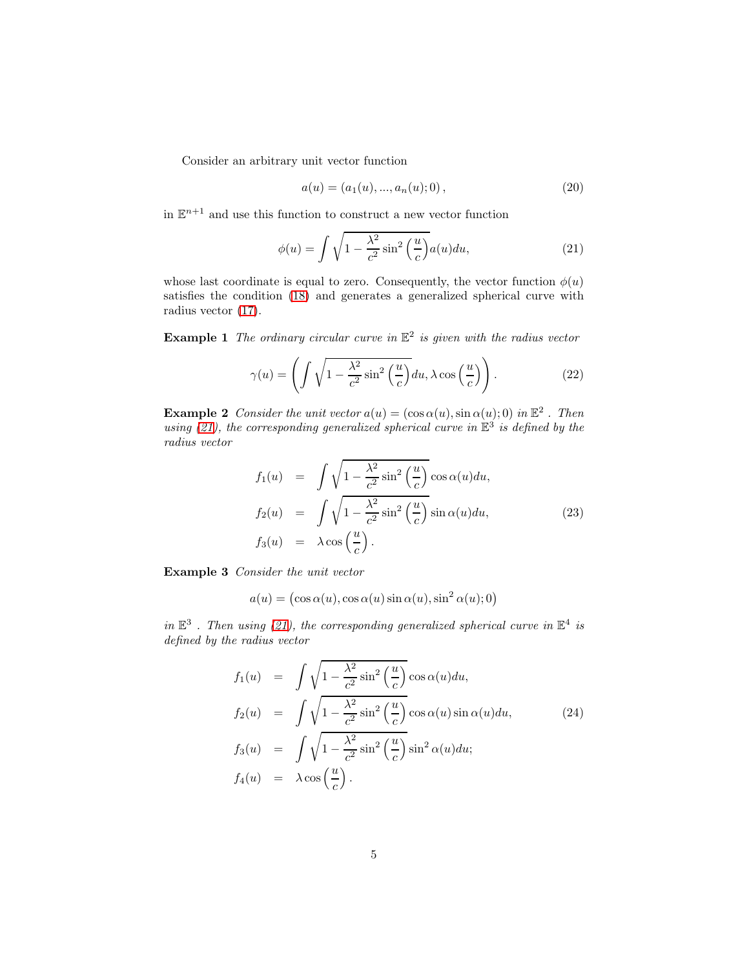Consider an arbitrary unit vector function

$$
a(u) = (a_1(u), ..., a_n(u); 0),
$$
\n(20)

in  $\mathbb{E}^{n+1}$  and use this function to construct a new vector function

<span id="page-4-0"></span>
$$
\phi(u) = \int \sqrt{1 - \frac{\lambda^2}{c^2} \sin^2\left(\frac{u}{c}\right)} a(u) du,
$$
\n(21)

whose last coordinate is equal to zero. Consequently, the vector function  $\phi(u)$ satisfies the condition [\(18\)](#page-3-2) and generates a generalized spherical curve with radius vector [\(17\)](#page-3-3).

**Example 1** The ordinary circular curve in  $\mathbb{E}^2$  is given with the radius vector

$$
\gamma(u) = \left( \int \sqrt{1 - \frac{\lambda^2}{c^2} \sin^2\left(\frac{u}{c}\right)} du, \lambda \cos\left(\frac{u}{c}\right) \right). \tag{22}
$$

**Example 2** Consider the unit vector  $a(u) = (\cos \alpha(u), \sin \alpha(u); 0)$  in  $\mathbb{E}^2$ . Then using [\(21\)](#page-4-0), the corresponding generalized spherical curve in  $\mathbb{E}^{3}$  is defined by the radius vector

$$
f_1(u) = \int \sqrt{1 - \frac{\lambda^2}{c^2} \sin^2\left(\frac{u}{c}\right)} \cos \alpha(u) du,
$$
  
\n
$$
f_2(u) = \int \sqrt{1 - \frac{\lambda^2}{c^2} \sin^2\left(\frac{u}{c}\right)} \sin \alpha(u) du,
$$
  
\n
$$
f_3(u) = \lambda \cos\left(\frac{u}{c}\right).
$$
\n(23)

Example 3 Consider the unit vector

$$
a(u) = (\cos \alpha(u), \cos \alpha(u) \sin \alpha(u), \sin^2 \alpha(u); 0)
$$

in  $\mathbb{E}^3$ . Then using [\(21\)](#page-4-0), the corresponding generalized spherical curve in  $\mathbb{E}^4$  is defined by the radius vector

$$
f_1(u) = \int \sqrt{1 - \frac{\lambda^2}{c^2} \sin^2\left(\frac{u}{c}\right)} \cos \alpha(u) du,
$$
  
\n
$$
f_2(u) = \int \sqrt{1 - \frac{\lambda^2}{c^2} \sin^2\left(\frac{u}{c}\right)} \cos \alpha(u) \sin \alpha(u) du,
$$
  
\n
$$
f_3(u) = \int \sqrt{1 - \frac{\lambda^2}{c^2} \sin^2\left(\frac{u}{c}\right)} \sin^2 \alpha(u) du;
$$
  
\n
$$
f_4(u) = \lambda \cos\left(\frac{u}{c}\right).
$$
\n(24)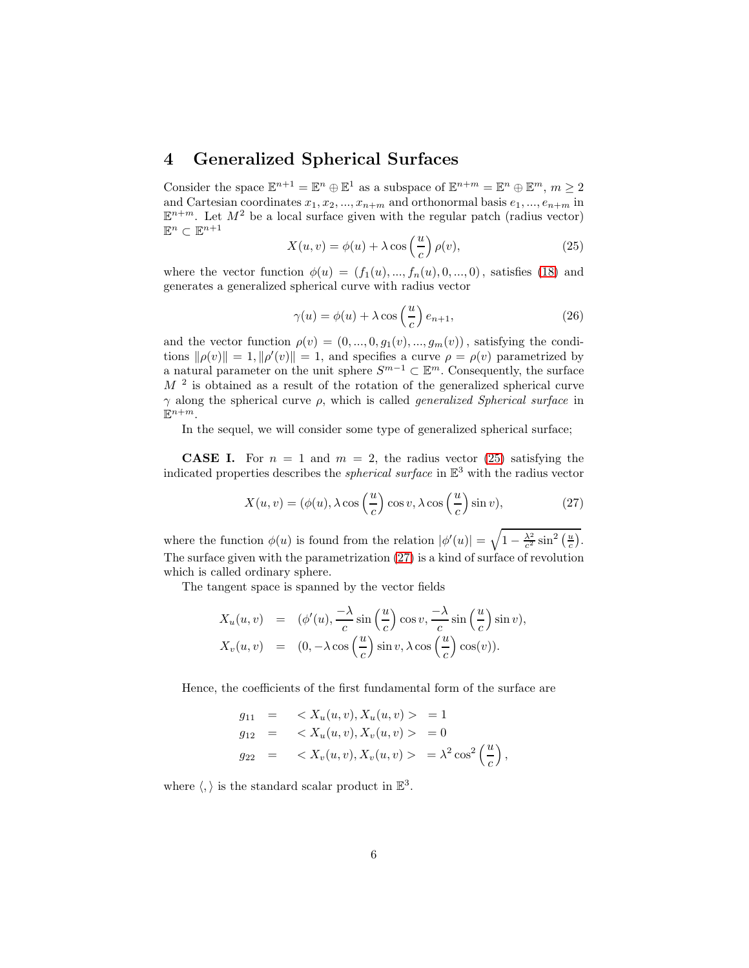### 4 Generalized Spherical Surfaces

Consider the space  $\mathbb{E}^{n+1} = \mathbb{E}^n \oplus \mathbb{E}^1$  as a subspace of  $\mathbb{E}^{n+m} = \mathbb{E}^n \oplus \mathbb{E}^m$ ,  $m \ge 2$ and Cartesian coordinates  $x_1, x_2, ..., x_{n+m}$  and orthonormal basis  $e_1, ..., e_{n+m}$  in  $\mathbb{E}^{n+m}$ . Let  $M^2$  be a local surface given with the regular patch (radius vector)  $\mathbb{E}^n \subset \mathbb{E}^{n+1}$ 

<span id="page-5-0"></span>
$$
X(u,v) = \phi(u) + \lambda \cos\left(\frac{u}{c}\right)\rho(v),\tag{25}
$$

where the vector function  $\phi(u) = (f_1(u), ..., f_n(u), 0, ..., 0)$ , satisfies [\(18\)](#page-3-2) and generates a generalized spherical curve with radius vector

$$
\gamma(u) = \phi(u) + \lambda \cos\left(\frac{u}{c}\right) e_{n+1},\tag{26}
$$

and the vector function  $\rho(v) = (0, ..., 0, g_1(v), ..., g_m(v))$ , satisfying the conditions  $\|\rho(v)\| = 1$ ,  $\|\rho'(v)\| = 1$ , and specifies a curve  $\rho = \rho(v)$  parametrized by a natural parameter on the unit sphere  $S^{m-1} \subset \mathbb{E}^m$ . Consequently, the surface  $M<sup>2</sup>$  is obtained as a result of the rotation of the generalized spherical curve  $\gamma$  along the spherical curve  $\rho$ , which is called *generalized Spherical surface* in  $\mathbb{E}^{n+m}$ .

In the sequel, we will consider some type of generalized spherical surface;

**CASE I.** For  $n = 1$  and  $m = 2$ , the radius vector [\(25\)](#page-5-0) satisfying the indicated properties describes the *spherical surface* in  $\mathbb{E}^3$  with the radius vector

<span id="page-5-1"></span>
$$
X(u, v) = (\phi(u), \lambda \cos\left(\frac{u}{c}\right) \cos v, \lambda \cos\left(\frac{u}{c}\right) \sin v),\tag{27}
$$

where the function  $\phi(u)$  is found from the relation  $|\phi'(u)| = \sqrt{1 - \frac{\lambda^2}{c^2} \sin^2(\frac{u}{c})}$ . The surface given with the parametrization [\(27\)](#page-5-1) is a kind of surface of revolution which is called ordinary sphere.

The tangent space is spanned by the vector fields

$$
X_u(u, v) = (\phi'(u), \frac{-\lambda}{c} \sin\left(\frac{u}{c}\right) \cos v, \frac{-\lambda}{c} \sin\left(\frac{u}{c}\right) \sin v),
$$
  

$$
X_v(u, v) = (0, -\lambda \cos\left(\frac{u}{c}\right) \sin v, \lambda \cos\left(\frac{u}{c}\right) \cos(v)).
$$

Hence, the coefficients of the first fundamental form of the surface are

$$
g_{11} = \langle X_u(u, v), X_u(u, v) \rangle = 1
$$
  
\n
$$
g_{12} = \langle X_u(u, v), X_v(u, v) \rangle = 0
$$
  
\n
$$
g_{22} = \langle X_v(u, v), X_v(u, v) \rangle = \lambda^2 \cos^2 \left(\frac{u}{c}\right),
$$

where  $\langle , \rangle$  is the standard scalar product in  $\mathbb{E}^3$ .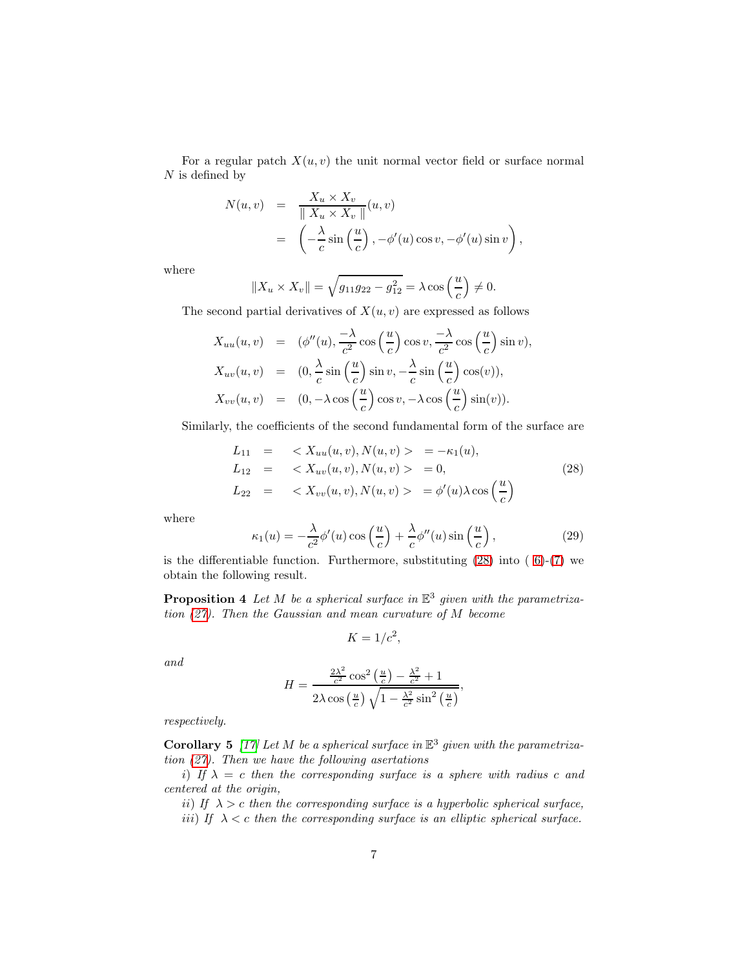For a regular patch  $X(u, v)$  the unit normal vector field or surface normal  $N$  is defined by

$$
N(u, v) = \frac{X_u \times X_v}{\| X_u \times X_v \|} (u, v)
$$
  
= 
$$
\left( -\frac{\lambda}{c} \sin\left(\frac{u}{c}\right), -\phi'(u) \cos v, -\phi'(u) \sin v \right),
$$

where

$$
||X_u \times X_v|| = \sqrt{g_{11}g_{22} - g_{12}^2} = \lambda \cos\left(\frac{u}{c}\right) \neq 0.
$$

The second partial derivatives of  $X(u, v)$  are expressed as follows

$$
X_{uu}(u,v) = (\phi''(u), \frac{-\lambda}{c^2} \cos\left(\frac{u}{c}\right) \cos v, \frac{-\lambda}{c^2} \cos\left(\frac{u}{c}\right) \sin v),
$$
  
\n
$$
X_{uv}(u,v) = (0, \frac{\lambda}{c} \sin\left(\frac{u}{c}\right) \sin v, -\frac{\lambda}{c} \sin\left(\frac{u}{c}\right) \cos(v)),
$$
  
\n
$$
X_{vv}(u,v) = (0, -\lambda \cos\left(\frac{u}{c}\right) \cos v, -\lambda \cos\left(\frac{u}{c}\right) \sin(v)).
$$

Similarly, the coefficients of the second fundamental form of the surface are

<span id="page-6-0"></span>
$$
L_{11} = \langle X_{uu}(u, v), N(u, v) \rangle = -\kappa_1(u), \nL_{12} = \langle X_{uv}(u, v), N(u, v) \rangle = 0, \nL_{22} = \langle X_{vv}(u, v), N(u, v) \rangle = \phi'(u) \lambda \cos\left(\frac{u}{c}\right)
$$
\n(28)

where

$$
\kappa_1(u) = -\frac{\lambda}{c^2} \phi'(u) \cos\left(\frac{u}{c}\right) + \frac{\lambda}{c} \phi''(u) \sin\left(\frac{u}{c}\right),\tag{29}
$$

is the differentiable function. Furthermore, substituting  $(28)$  into  $(6)-(7)$  $(6)-(7)$  we obtain the following result.

**Proposition 4** Let M be a spherical surface in  $\mathbb{E}^3$  given with the parametrization [\(27\)](#page-5-1). Then the Gaussian and mean curvature of M become

$$
K = 1/c^2,
$$

and

$$
H = \frac{\frac{2\lambda^2}{c^2}\cos^2\left(\frac{u}{c}\right) - \frac{\lambda^2}{c^2} + 1}{2\lambda\cos\left(\frac{u}{c}\right)\sqrt{1 - \frac{\lambda^2}{c^2}\sin^2\left(\frac{u}{c}\right)}},
$$

respectively.

**Corollary 5** [\[17\]](#page-13-1) Let M be a spherical surface in  $\mathbb{E}^3$  given with the parametrization [\(27\)](#page-5-1). Then we have the following asertations

i) If  $\lambda = c$  then the corresponding surface is a sphere with radius c and centered at the origin,

ii) If  $\lambda > c$  then the corresponding surface is a hyperbolic spherical surface,

iii) If  $\lambda < c$  then the corresponding surface is an elliptic spherical surface.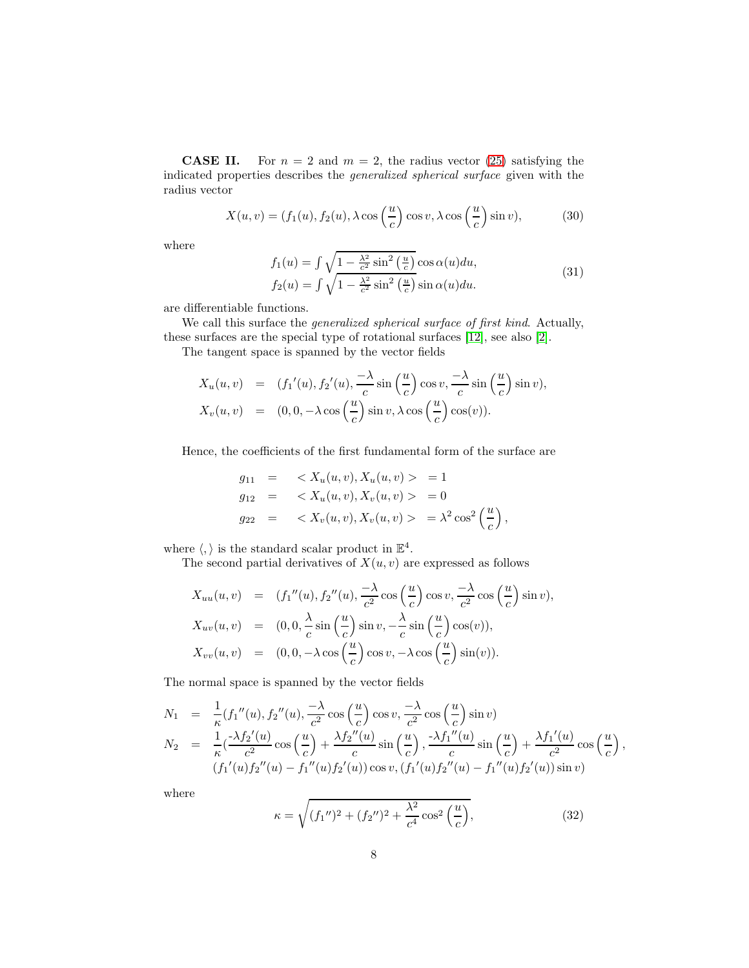**CASE II.** For  $n = 2$  and  $m = 2$ , the radius vector [\(25\)](#page-5-0) satisfying the indicated properties describes the generalized spherical surface given with the radius vector

<span id="page-7-0"></span>
$$
X(u,v) = (f_1(u), f_2(u), \lambda \cos\left(\frac{u}{c}\right) \cos v, \lambda \cos\left(\frac{u}{c}\right) \sin v), \tag{30}
$$

where

$$
f_1(u) = \int \sqrt{1 - \frac{\lambda^2}{c^2} \sin^2\left(\frac{u}{c}\right)} \cos \alpha(u) du,
$$
  
\n
$$
f_2(u) = \int \sqrt{1 - \frac{\lambda^2}{c^2} \sin^2\left(\frac{u}{c}\right)} \sin \alpha(u) du.
$$
\n(31)

are differentiable functions.

We call this surface the *generalized spherical surface of first kind*. Actually, these surfaces are the special type of rotational surfaces [\[12\]](#page-12-2), see also [\[2\]](#page-12-6).

The tangent space is spanned by the vector fields

$$
X_u(u, v) = (f_1'(u), f_2'(u), \frac{-\lambda}{c} \sin\left(\frac{u}{c}\right) \cos v, \frac{-\lambda}{c} \sin\left(\frac{u}{c}\right) \sin v),
$$
  

$$
X_v(u, v) = (0, 0, -\lambda \cos\left(\frac{u}{c}\right) \sin v, \lambda \cos\left(\frac{u}{c}\right) \cos(v)).
$$

Hence, the coefficients of the first fundamental form of the surface are

$$
g_{11} = \langle X_u(u, v), X_u(u, v) \rangle = 1
$$
  
\n
$$
g_{12} = \langle X_u(u, v), X_v(u, v) \rangle = 0
$$
  
\n
$$
g_{22} = \langle X_v(u, v), X_v(u, v) \rangle = \lambda^2 \cos^2 \left(\frac{u}{c}\right),
$$

where  $\langle, \rangle$  is the standard scalar product in  $\mathbb{E}^4$ .

The second partial derivatives of  $X(u, v)$  are expressed as follows

$$
X_{uu}(u, v) = (f_1''(u), f_2''(u), \frac{-\lambda}{c^2} \cos\left(\frac{u}{c}\right) \cos v, \frac{-\lambda}{c^2} \cos\left(\frac{u}{c}\right) \sin v),
$$
  
\n
$$
X_{uv}(u, v) = (0, 0, \frac{\lambda}{c} \sin\left(\frac{u}{c}\right) \sin v, -\frac{\lambda}{c} \sin\left(\frac{u}{c}\right) \cos(v)),
$$
  
\n
$$
X_{vv}(u, v) = (0, 0, -\lambda \cos\left(\frac{u}{c}\right) \cos v, -\lambda \cos\left(\frac{u}{c}\right) \sin(v)).
$$

The normal space is spanned by the vector fields

$$
N_1 = \frac{1}{\kappa} (f_1''(u), f_2''(u), \frac{-\lambda}{c^2} \cos\left(\frac{u}{c}\right) \cos v, \frac{-\lambda}{c^2} \cos\left(\frac{u}{c}\right) \sin v)
$$
  
\n
$$
N_2 = \frac{1}{\kappa} (\frac{-\lambda f_2'(u)}{c^2} \cos\left(\frac{u}{c}\right) + \frac{\lambda f_2''(u)}{c} \sin\left(\frac{u}{c}\right), \frac{-\lambda f_1''(u)}{c} \sin\left(\frac{u}{c}\right) + \frac{\lambda f_1'(u)}{c^2} \cos\left(\frac{u}{c}\right),
$$
  
\n
$$
(f_1'(u) f_2''(u) - f_1''(u) f_2'(u)) \cos v, (f_1'(u) f_2''(u) - f_1''(u) f_2'(u)) \sin v)
$$

where

$$
\kappa = \sqrt{(f_1'')^2 + (f_2'')^2 + \frac{\lambda^2}{c^4} \cos^2\left(\frac{u}{c}\right)},\tag{32}
$$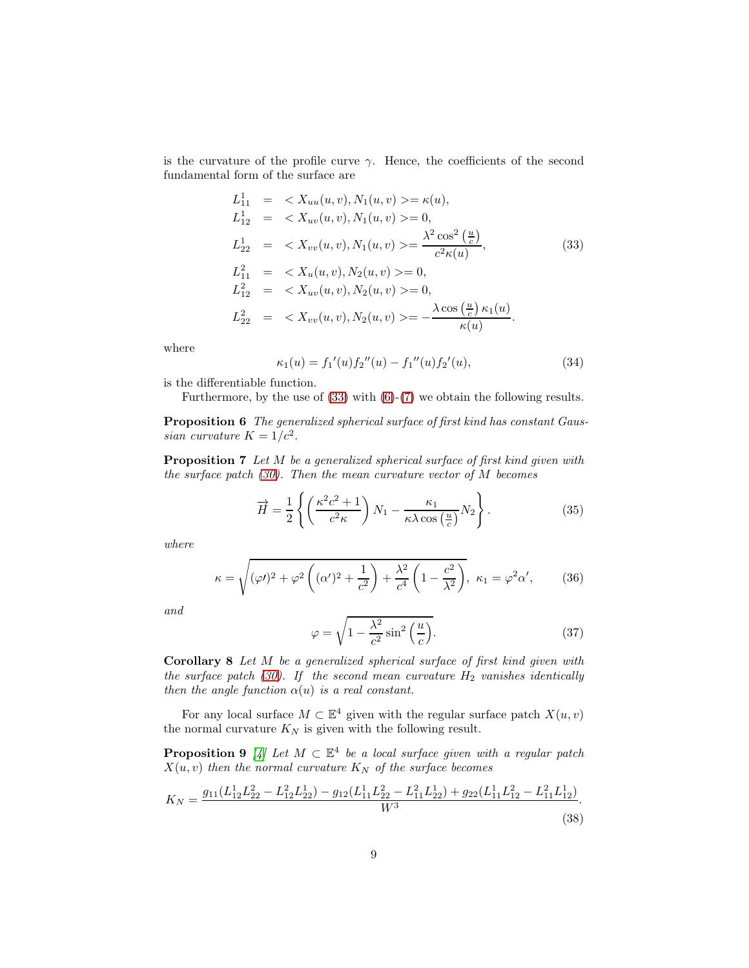is the curvature of the profile curve  $\gamma$ . Hence, the coefficients of the second fundamental form of the surface are

<span id="page-8-0"></span>
$$
L_{11}^{1} = \langle X_{uu}(u, v), N_1(u, v) \rangle = \kappa(u),
$$
  
\n
$$
L_{12}^{1} = \langle X_{uv}(u, v), N_1(u, v) \rangle = 0,
$$
  
\n
$$
L_{22}^{1} = \langle X_{vv}(u, v), N_1(u, v) \rangle = \frac{\lambda^2 \cos^2\left(\frac{u}{c}\right)}{c^2 \kappa(u)},
$$
  
\n
$$
L_{11}^{2} = \langle X_u(u, v), N_2(u, v) \rangle = 0,
$$
  
\n
$$
L_{12}^{2} = \langle X_{uv}(u, v), N_2(u, v) \rangle = 0,
$$
  
\n
$$
L_{22}^{2} = \langle X_{vv}(u, v), N_2(u, v) \rangle = -\frac{\lambda \cos\left(\frac{u}{c}\right) \kappa_1(u)}{\kappa(u)}.
$$
\n(33)

where

$$
\kappa_1(u) = f_1'(u) f_2''(u) - f_1''(u) f_2'(u), \tag{34}
$$

is the differentiable function.

Furthermore, by the use of [\(33\)](#page-8-0) with [\(6\)](#page-2-0)-[\(7\)](#page-2-1) we obtain the following results.

Proposition 6 The generalized spherical surface of first kind has constant Gaussian curvature  $K = 1/c^2$ .

Proposition 7 Let M be a generalized spherical surface of first kind given with the surface patch  $(30)$ . Then the mean curvature vector of M becomes

$$
\overrightarrow{H} = \frac{1}{2} \left\{ \left( \frac{\kappa^2 c^2 + 1}{c^2 \kappa} \right) N_1 - \frac{\kappa_1}{\kappa \lambda \cos\left(\frac{u}{c}\right)} N_2 \right\}.
$$
 (35)

where

$$
\kappa = \sqrt{(\varphi/)^2 + \varphi^2 \left( (\alpha')^2 + \frac{1}{c^2} \right) + \frac{\lambda^2}{c^4} \left( 1 - \frac{c^2}{\lambda^2} \right)}, \ \kappa_1 = \varphi^2 \alpha', \tag{36}
$$

and

$$
\varphi = \sqrt{1 - \frac{\lambda^2}{c^2} \sin^2\left(\frac{u}{c}\right)}.\tag{37}
$$

Corollary 8 Let M be a generalized spherical surface of first kind given with the surface patch [\(30\)](#page-7-0). If the second mean curvature  $H_2$  vanishes identically then the angle function  $\alpha(u)$  is a real constant.

For any local surface  $M \subset \mathbb{E}^4$  given with the regular surface patch  $X(u, v)$ the normal curvature  $K_N$  is given with the following result.

**Proposition 9** [\[4\]](#page-12-14) Let  $M \subset \mathbb{E}^4$  be a local surface given with a regular patch  $X(u, v)$  then the normal curvature  $K_N$  of the surface becomes

<span id="page-8-1"></span>
$$
K_N = \frac{g_{11}(L_{12}^1 L_{22}^2 - L_{12}^2 L_{22}^1) - g_{12}(L_{11}^1 L_{22}^2 - L_{11}^2 L_{22}^1) + g_{22}(L_{11}^1 L_{12}^2 - L_{11}^2 L_{12}^1)}{W^3}.
$$
\n(38)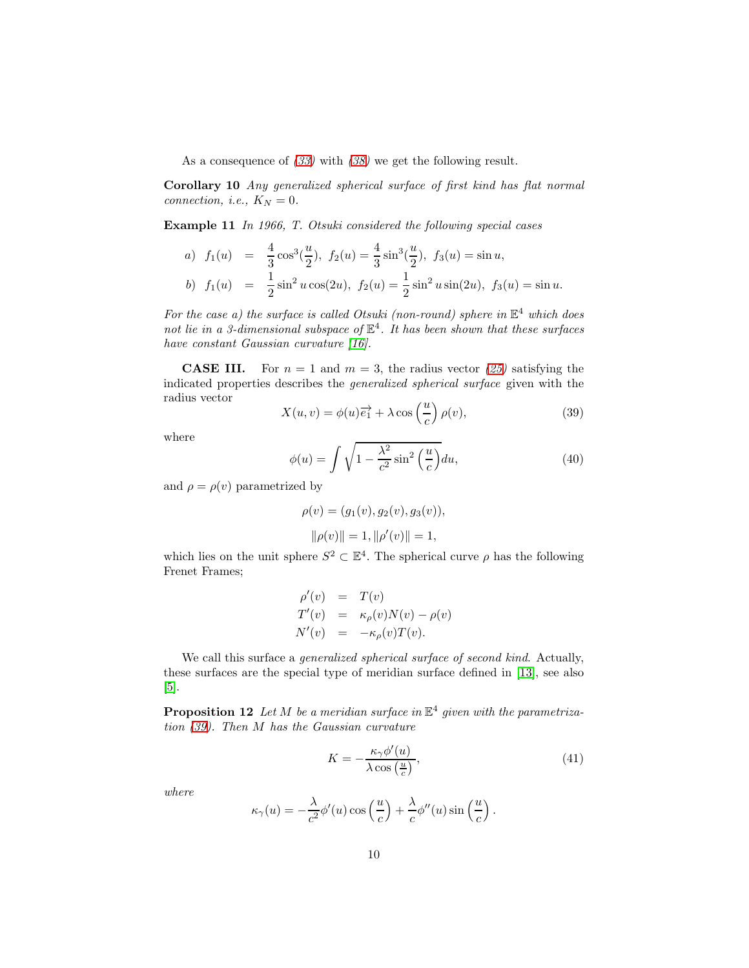As a consequence of  $(33)$  with  $(38)$  we get the following result.

Corollary 10 Any generalized spherical surface of first kind has flat normal connection, i.e.,  $K_N = 0$ .

Example 11 In 1966, T. Otsuki considered the following special cases

a) 
$$
f_1(u) = \frac{4}{3}\cos^3(\frac{u}{2}), f_2(u) = \frac{4}{3}\sin^3(\frac{u}{2}), f_3(u) = \sin u,
$$
  
b)  $f_1(u) = \frac{1}{2}\sin^2 u \cos(2u), f_2(u) = \frac{1}{2}\sin^2 u \sin(2u), f_3(u) = \sin u.$ 

For the case a) the surface is called Otsuki (non-round) sphere in  $\mathbb{E}^4$  which does not lie in a 3-dimensional subspace of  $\mathbb{E}^4$ . It has been shown that these surfaces have constant Gaussian curvature [\[16\]](#page-12-15).

**CASE III.** For  $n = 1$  and  $m = 3$ , the radius vector [\(25\)](#page-5-0) satisfying the indicated properties describes the generalized spherical surface given with the radius vector

<span id="page-9-0"></span>
$$
X(u,v) = \phi(u)\overrightarrow{e_1} + \lambda \cos\left(\frac{u}{c}\right)\rho(v),\tag{39}
$$

where

<span id="page-9-1"></span>
$$
\phi(u) = \int \sqrt{1 - \frac{\lambda^2}{c^2} \sin^2\left(\frac{u}{c}\right)} du,\tag{40}
$$

and  $\rho = \rho(v)$  parametrized by

$$
\rho(v) = (g_1(v), g_2(v), g_3(v)),
$$
  

$$
\|\rho(v)\| = 1, \|\rho'(v)\| = 1,
$$

which lies on the unit sphere  $S^2 \subset \mathbb{E}^4$ . The spherical curve  $\rho$  has the following Frenet Frames;

$$
\rho'(v) = T(v)
$$
  
\n
$$
T'(v) = \kappa_{\rho}(v)N(v) - \rho(v)
$$
  
\n
$$
N'(v) = -\kappa_{\rho}(v)T(v).
$$

We call this surface a *generalized spherical surface of second kind*. Actually, these surfaces are the special type of meridian surface defined in [\[13\]](#page-12-8), see also [\[5\]](#page-12-9).

**Proposition 12** Let M be a meridian surface in  $\mathbb{E}^4$  given with the parametrization [\(39\)](#page-9-0). Then M has the Gaussian curvature

<span id="page-9-2"></span>
$$
K = -\frac{\kappa_{\gamma}\phi'(u)}{\lambda \cos\left(\frac{u}{c}\right)},\tag{41}
$$

where

$$
\kappa_{\gamma}(u) = -\frac{\lambda}{c^2} \phi'(u) \cos\left(\frac{u}{c}\right) + \frac{\lambda}{c} \phi''(u) \sin\left(\frac{u}{c}\right).
$$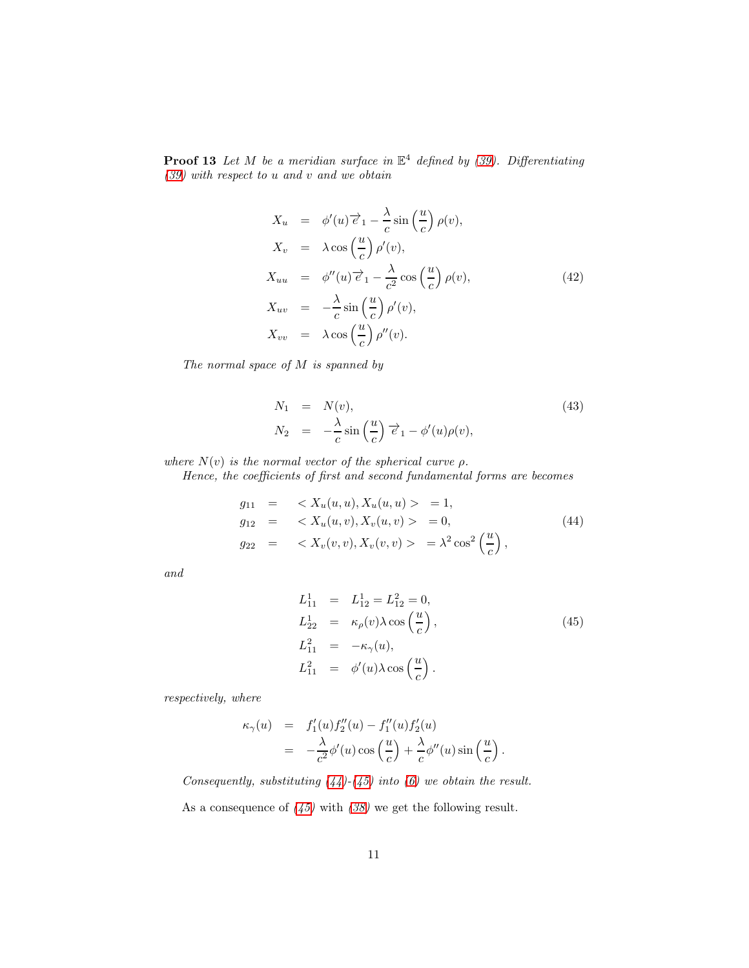**Proof 13** Let M be a meridian surface in  $\mathbb{E}^4$  defined by [\(39\)](#page-9-0). Differentiating [\(39\)](#page-9-0) with respect to u and v and we obtain

$$
X_u = \phi'(u)\overrightarrow{e}_1 - \frac{\lambda}{c}\sin\left(\frac{u}{c}\right)\rho(v),
$$
  
\n
$$
X_v = \lambda\cos\left(\frac{u}{c}\right)\rho'(v),
$$
  
\n
$$
X_{uu} = \phi''(u)\overrightarrow{e}_1 - \frac{\lambda}{c^2}\cos\left(\frac{u}{c}\right)\rho(v),
$$
  
\n
$$
X_{uv} = -\frac{\lambda}{c}\sin\left(\frac{u}{c}\right)\rho'(v),
$$
  
\n
$$
X_{vv} = \lambda\cos\left(\frac{u}{c}\right)\rho''(v).
$$
\n(42)

The normal space of M is spanned by

$$
N_1 = N(v),
$$
  
\n
$$
N_2 = -\frac{\lambda}{c} \sin\left(\frac{u}{c}\right) \vec{e}_1 - \phi'(u)\rho(v),
$$
\n(43)

where  $N(v)$  is the normal vector of the spherical curve  $\rho$ .

Hence, the coefficients of first and second fundamental forms are becomes

<span id="page-10-0"></span>
$$
g_{11} = \langle X_u(u, u), X_u(u, u) \rangle = 1, g_{12} = \langle X_u(u, v), X_v(u, v) \rangle = 0, g_{22} = \langle X_v(v, v), X_v(v, v) \rangle = \lambda^2 \cos^2\left(\frac{u}{c}\right),
$$
 (44)

and

<span id="page-10-1"></span>
$$
L_{11}^1 = L_{12}^1 = L_{12}^2 = 0,
$$
  
\n
$$
L_{22}^1 = \kappa_\rho(v)\lambda \cos\left(\frac{u}{c}\right),
$$
  
\n
$$
L_{11}^2 = -\kappa_\gamma(u),
$$
  
\n
$$
L_{11}^2 = \phi'(u)\lambda \cos\left(\frac{u}{c}\right).
$$
\n(45)

respectively, where

$$
\kappa_{\gamma}(u) = f'_1(u)f''_2(u) - f''_1(u)f'_2(u)
$$
  
=  $-\frac{\lambda}{c^2}\phi'(u)\cos\left(\frac{u}{c}\right) + \frac{\lambda}{c}\phi''(u)\sin\left(\frac{u}{c}\right).$ 

Consequently, substituting  $(44)-(45)$  $(44)-(45)$  into  $(6)$  we obtain the result.

As a consequence of  $(45)$  with  $(38)$  we get the following result.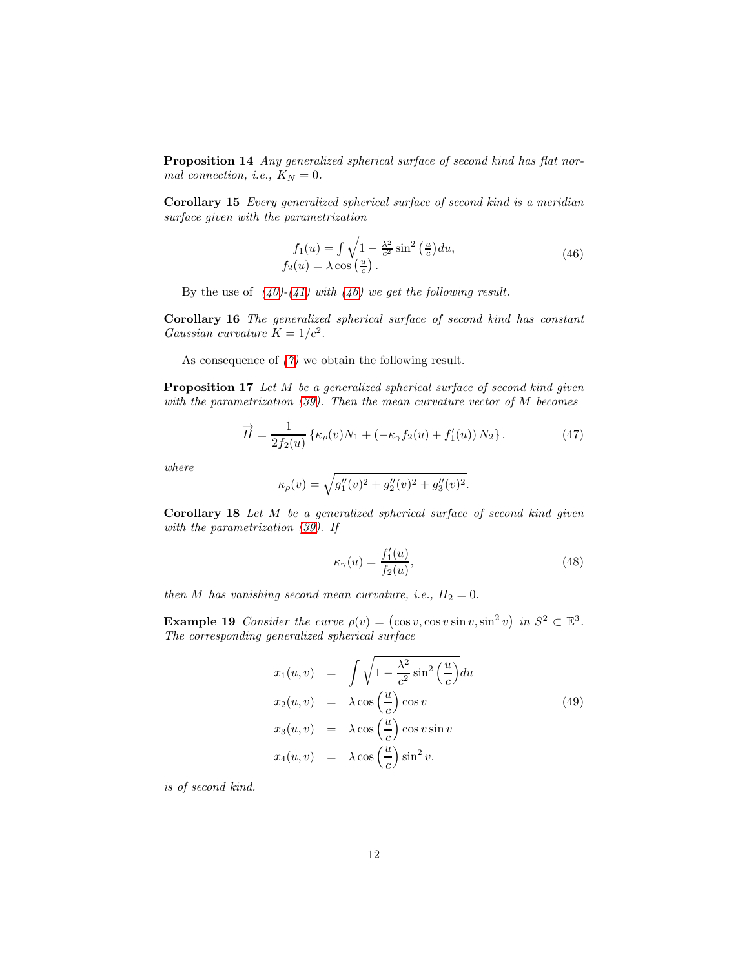Proposition 14 Any generalized spherical surface of second kind has flat normal connection, i.e.,  $K_N = 0$ .

Corollary 15 Every generalized spherical surface of second kind is a meridian surface given with the parametrization

<span id="page-11-0"></span>
$$
f_1(u) = \int \sqrt{1 - \frac{\lambda^2}{c^2} \sin^2\left(\frac{u}{c}\right)} du,
$$
  
\n
$$
f_2(u) = \lambda \cos\left(\frac{u}{c}\right).
$$
\n(46)

By the use of  $(40)-(41)$  $(40)-(41)$  $(40)-(41)$  with  $(46)$  we get the following result.

Corollary 16 The generalized spherical surface of second kind has constant Gaussian curvature  $K = 1/c^2$ .

As consequence of [\(7\)](#page-2-1) we obtain the following result.

Proposition 17 Let M be a generalized spherical surface of second kind given with the parametrization [\(39\)](#page-9-0). Then the mean curvature vector of M becomes

$$
\overrightarrow{H} = \frac{1}{2f_2(u)} \left\{ \kappa_\rho(v) N_1 + \left( -\kappa_\gamma f_2(u) + f_1'(u) \right) N_2 \right\}.
$$
 (47)

where

$$
\kappa_{\rho}(v) = \sqrt{g_1''(v)^2 + g_2''(v)^2 + g_3''(v)^2}.
$$

Corollary 18 Let M be a generalized spherical surface of second kind given with the parametrization [\(39\)](#page-9-0). If

$$
\kappa_{\gamma}(u) = \frac{f_1'(u)}{f_2(u)},\tag{48}
$$

then M has vanishing second mean curvature, i.e.,  $H_2 = 0$ .

**Example 19** Consider the curve  $\rho(v) = (\cos v, \cos v \sin v, \sin^2 v)$  in  $S^2 \subset \mathbb{E}^3$ . The corresponding generalized spherical surface

$$
x_1(u, v) = \int \sqrt{1 - \frac{\lambda^2}{c^2} \sin^2 \left(\frac{u}{c}\right)} du
$$
  
\n
$$
x_2(u, v) = \lambda \cos \left(\frac{u}{c}\right) \cos v
$$
  
\n
$$
x_3(u, v) = \lambda \cos \left(\frac{u}{c}\right) \cos v \sin v
$$
  
\n
$$
x_4(u, v) = \lambda \cos \left(\frac{u}{c}\right) \sin^2 v.
$$
\n(49)

is of second kind.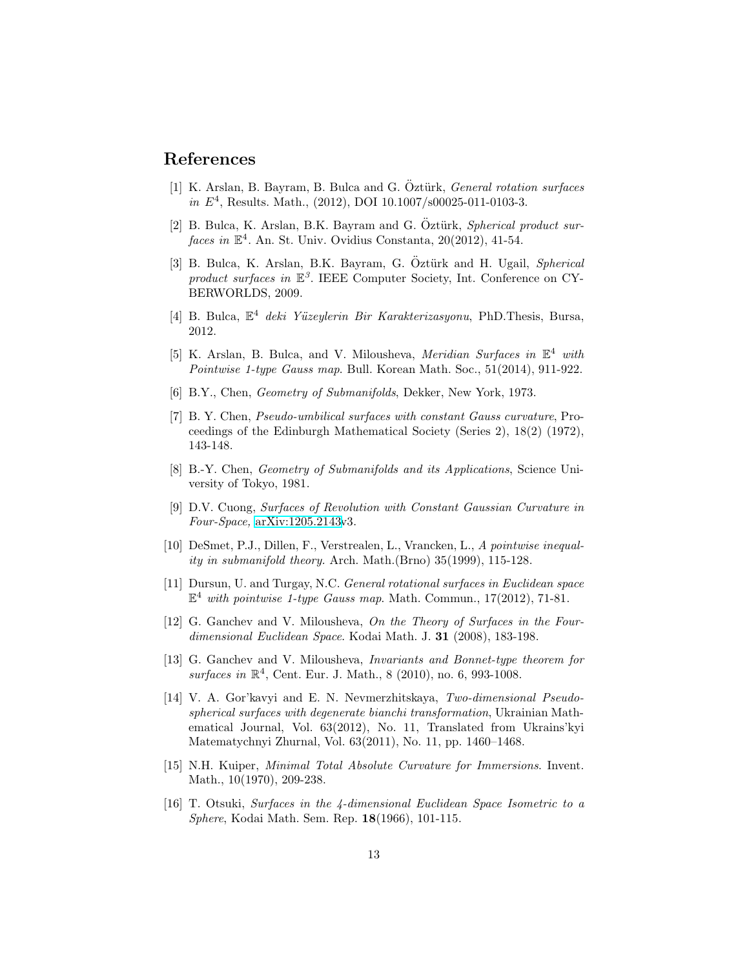#### <span id="page-12-4"></span>References

- [1] K. Arslan, B. Bayram, B. Bulca and G. Öztürk, *General rotation surfaces* in  $E^4$ , Results. Math., (2012), DOI 10.1007/s00025-011-0103-3.
- <span id="page-12-6"></span>[2] B. Bulca, K. Arslan, B.K. Bayram and G. Öztürk, Spherical product surfaces in  $\mathbb{E}^4$ . An. St. Univ. Ovidius Constanta, 20(2012), 41-54.
- <span id="page-12-0"></span>[3] B. Bulca, K. Arslan, B.K. Bayram, G. Öztürk and H. Ugail, Spherical product surfaces in  $\mathbb{E}^3$ . IEEE Computer Society, Int. Conference on CY-BERWORLDS, 2009.
- <span id="page-12-14"></span>[4] B. Bulca,  $\mathbb{E}^4$  deki Yüzeylerin Bir Karakterizasyonu, PhD.Thesis, Bursa, 2012.
- <span id="page-12-9"></span>[5] K. Arslan, B. Bulca, and V. Milousheva, *Meridian Surfaces in*  $\mathbb{E}^4$  with Pointwise 1-type Gauss map. Bull. Korean Math. Soc., 51(2014), 911-922.
- <span id="page-12-11"></span><span id="page-12-10"></span>[6] B.Y., Chen, Geometry of Submanifolds, Dekker, New York, 1973.
- [7] B. Y. Chen, Pseudo-umbilical surfaces with constant Gauss curvature, Proceedings of the Edinburgh Mathematical Society (Series 2), 18(2) (1972), 143-148.
- <span id="page-12-12"></span>[8] B.-Y. Chen, Geometry of Submanifolds and its Applications, Science University of Tokyo, 1981.
- <span id="page-12-5"></span>[9] D.V. Cuong, Surfaces of Revolution with Constant Gaussian Curvature in Four-Space, [arXiv:1205.2143v](http://arxiv.org/abs/1205.2143)3.
- <span id="page-12-13"></span>[10] DeSmet, P.J., Dillen, F., Verstrealen, L., Vrancken, L., A pointwise inequality in submanifold theory. Arch. Math.(Brno) 35(1999), 115-128.
- <span id="page-12-3"></span>[11] Dursun, U. and Turgay, N.C. General rotational surfaces in Euclidean space  $\mathbb{E}^4$  with pointwise 1-type Gauss map. Math. Commun., 17(2012), 71-81.
- <span id="page-12-2"></span>[12] G. Ganchev and V. Milousheva, On the Theory of Surfaces in the Fourdimensional Euclidean Space. Kodai Math. J. 31 (2008), 183-198.
- <span id="page-12-8"></span>[13] G. Ganchev and V. Milousheva, *Invariants and Bonnet-type theorem for* surfaces in  $\mathbb{R}^4$ , Cent. Eur. J. Math., 8 (2010), no. 6, 993-1008.
- <span id="page-12-1"></span>[14] V. A. Gor'kavyi and E. N. Nevmerzhitskaya, Two-dimensional Pseudospherical surfaces with degenerate bianchi transformation, Ukrainian Mathematical Journal, Vol. 63(2012), No. 11, Translated from Ukrains'kyi Matematychnyi Zhurnal, Vol. 63(2011), No. 11, pp. 1460–1468.
- <span id="page-12-7"></span>[15] N.H. Kuiper, Minimal Total Absolute Curvature for Immersions. Invent. Math., 10(1970), 209-238.
- <span id="page-12-15"></span>[16] T. Otsuki, Surfaces in the 4-dimensional Euclidean Space Isometric to a Sphere, Kodai Math. Sem. Rep. 18(1966), 101-115.